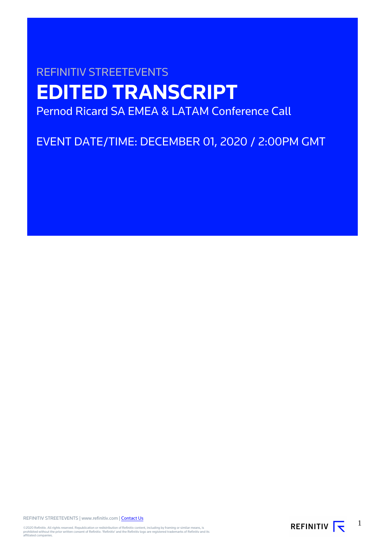# REFINITIV STREETEVENTS **EDITED TRANSCRIPT** Pernod Ricard SA EMEA & LATAM Conference Call

EVENT DATE/TIME: DECEMBER 01, 2020 / 2:00PM GMT

REFINITIV STREETEVENTS | www.refinitiv.com | [Contact Us](https://www.refinitiv.com/en/contact-us)

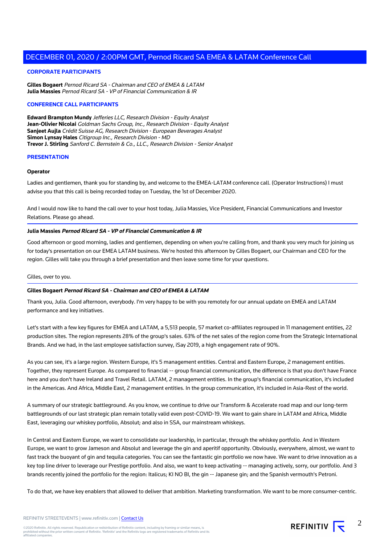## **CORPORATE PARTICIPANTS**

**Gilles Bogaert** Pernod Ricard SA - Chairman and CEO of EMEA & LATAM **Julia Massies** Pernod Ricard SA - VP of Financial Communication & IR

## **CONFERENCE CALL PARTICIPANTS**

**Edward Brampton Mundy** Jefferies LLC, Research Division - Equity Analyst **Jean-Olivier Nicolai** Goldman Sachs Group, Inc., Research Division - Equity Analyst **Sanjeet Aujla** Crédit Suisse AG, Research Division - European Beverages Analyst **Simon Lynsay Hales** Citigroup Inc., Research Division - MD **Trevor J. Stirling** Sanford C. Bernstein & Co., LLC., Research Division - Senior Analyst

## **PRESENTATION**

#### **Operator**

Ladies and gentlemen, thank you for standing by, and welcome to the EMEA-LATAM conference call. (Operator Instructions) I must advise you that this call is being recorded today on Tuesday, the 1st of December 2020.

And I would now like to hand the call over to your host today, Julia Massies, Vice President, Financial Communications and Investor Relations. Please go ahead.

## **Julia Massies Pernod Ricard SA - VP of Financial Communication & IR**

Good afternoon or good morning, ladies and gentlemen, depending on when you're calling from, and thank you very much for joining us for today's presentation on our EMEA LATAM business. We're hosted this afternoon by Gilles Bogaert, our Chairman and CEO for the region. Gilles will take you through a brief presentation and then leave some time for your questions.

#### Gilles, over to you.

# **Gilles Bogaert Pernod Ricard SA - Chairman and CEO of EMEA & LATAM**

Thank you, Julia. Good afternoon, everybody. I'm very happy to be with you remotely for our annual update on EMEA and LATAM performance and key initiatives.

Let's start with a few key figures for EMEA and LATAM, a 5,513 people, 57 market co-affiliates regrouped in 11 management entities, 22 production sites. The region represents 28% of the group's sales. 63% of the net sales of the region come from the Strategic International Brands. And we had, in the last employee satisfaction survey, iSay 2019, a high engagement rate of 90%.

As you can see, it's a large region. Western Europe, it's 5 management entities. Central and Eastern Europe, 2 management entities. Together, they represent Europe. As compared to financial -- group financial communication, the difference is that you don't have France here and you don't have Ireland and Travel Retail. LATAM, 2 management entities. In the group's financial communication, it's included in the Americas. And Africa, Middle East, 2 management entities. In the group communication, it's included in Asia-Rest of the world.

A summary of our strategic battleground. As you know, we continue to drive our Transform & Accelerate road map and our long-term battlegrounds of our last strategic plan remain totally valid even post-COVID-19. We want to gain share in LATAM and Africa, Middle East, leveraging our whiskey portfolio, Absolut; and also in SSA, our mainstream whiskeys.

In Central and Eastern Europe, we want to consolidate our leadership, in particular, through the whiskey portfolio. And in Western Europe, we want to grow Jameson and Absolut and leverage the gin and aperitif opportunity. Obviously, everywhere, almost, we want to fast track the buoyant of gin and tequila categories. You can see the fantastic gin portfolio we now have. We want to drive innovation as a key top line driver to leverage our Prestige portfolio. And also, we want to keep activating -- managing actively, sorry, our portfolio. And 3 brands recently joined the portfolio for the region: Italicus; KI NO BI, the gin -- Japanese gin; and the Spanish vermouth's Petroni.

To do that, we have key enablers that allowed to deliver that ambition. Marketing transformation. We want to be more consumer-centric.

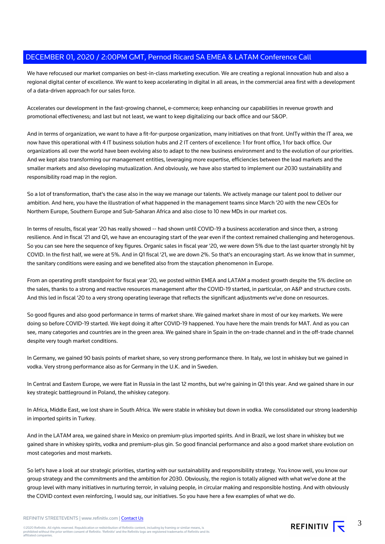We have refocused our market companies on best-in-class marketing execution. We are creating a regional innovation hub and also a regional digital center of excellence. We want to keep accelerating in digital in all areas, in the commercial area first with a development of a data-driven approach for our sales force.

Accelerates our development in the fast-growing channel, e-commerce; keep enhancing our capabilities in revenue growth and promotional effectiveness; and last but not least, we want to keep digitalizing our back office and our S&OP.

And in terms of organization, we want to have a fit-for-purpose organization, many initiatives on that front. UnITy within the IT area, we now have this operational with 4 IT business solution hubs and 2 IT centers of excellence: 1 for front office, 1 for back office. Our organizations all over the world have been evolving also to adapt to the new business environment and to the evolution of our priorities. And we kept also transforming our management entities, leveraging more expertise, efficiencies between the lead markets and the smaller markets and also developing mutualization. And obviously, we have also started to implement our 2030 sustainability and responsibility road map in the region.

So a lot of transformation, that's the case also in the way we manage our talents. We actively manage our talent pool to deliver our ambition. And here, you have the illustration of what happened in the management teams since March '20 with the new CEOs for Northern Europe, Southern Europe and Sub-Saharan Africa and also close to 10 new MDs in our market cos.

In terms of results, fiscal year '20 has really showed -- had shown until COVID-19 a business acceleration and since then, a strong resilience. And in fiscal '21 and Q1, we have an encouraging start of the year even if the context remained challenging and heterogenous. So you can see here the sequence of key figures. Organic sales in fiscal year '20, we were down 5% due to the last quarter strongly hit by COVID. In the first half, we were at 5%. And in Q1 fiscal '21, we are down 2%. So that's an encouraging start. As we know that in summer, the sanitary conditions were easing and we benefited also from the staycation phenomenon in Europe.

From an operating profit standpoint for fiscal year '20, we posted within EMEA and LATAM a modest growth despite the 5% decline on the sales, thanks to a strong and reactive resources management after the COVID-19 started, in particular, on A&P and structure costs. And this led in fiscal '20 to a very strong operating leverage that reflects the significant adjustments we've done on resources.

So good figures and also good performance in terms of market share. We gained market share in most of our key markets. We were doing so before COVID-19 started. We kept doing it after COVID-19 happened. You have here the main trends for MAT. And as you can see, many categories and countries are in the green area. We gained share in Spain in the on-trade channel and in the off-trade channel despite very tough market conditions.

In Germany, we gained 90 basis points of market share, so very strong performance there. In Italy, we lost in whiskey but we gained in vodka. Very strong performance also as for Germany in the U.K. and in Sweden.

In Central and Eastern Europe, we were flat in Russia in the last 12 months, but we're gaining in Q1 this year. And we gained share in our key strategic battleground in Poland, the whiskey category.

In Africa, Middle East, we lost share in South Africa. We were stable in whiskey but down in vodka. We consolidated our strong leadership in imported spirits in Turkey.

And in the LATAM area, we gained share in Mexico on premium-plus imported spirits. And in Brazil, we lost share in whiskey but we gained share in whiskey spirits, vodka and premium-plus gin. So good financial performance and also a good market share evolution on most categories and most markets.

So let's have a look at our strategic priorities, starting with our sustainability and responsibility strategy. You know well, you know our group strategy and the commitments and the ambition for 2030. Obviously, the region is totally aligned with what we've done at the group level with many initiatives in nurturing terroir, in valuing people, in circular making and responsible hosting. And with obviously the COVID context even reinforcing, I would say, our initiatives. So you have here a few examples of what we do.

REFINITIV STREETEVENTS | www.refinitiv.com | [Contact Us](https://www.refinitiv.com/en/contact-us)

©2020 Refinitiv. All rights reserved. Republication or redistribution of Refinitiv content, including by framing or similar means, is<br>prohibited without the prior written consent of Refinitiv. 'Refinitiv' and the Refinitiv affiliated companies.

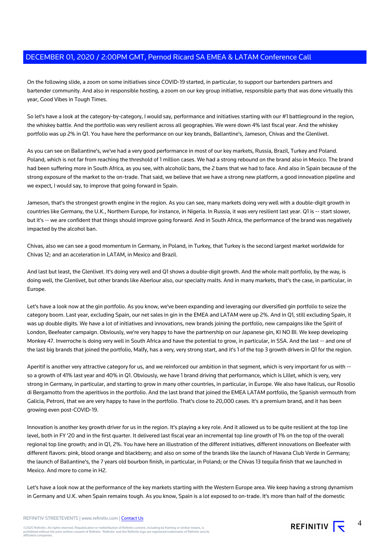On the following slide, a zoom on some initiatives since COVID-19 started, in particular, to support our bartenders partners and bartender community. And also in responsible hosting, a zoom on our key group initiative, responsible party that was done virtually this year, Good Vibes in Tough Times.

So let's have a look at the category-by-category, I would say, performance and initiatives starting with our #1 battleground in the region, the whiskey battle. And the portfolio was very resilient across all geographies. We were down 4% last fiscal year. And the whiskey portfolio was up 2% in Q1. You have here the performance on our key brands, Ballantine's, Jameson, Chivas and the Glenlivet.

As you can see on Ballantine's, we've had a very good performance in most of our key markets, Russia, Brazil, Turkey and Poland. Poland, which is not far from reaching the threshold of 1 million cases. We had a strong rebound on the brand also in Mexico. The brand had been suffering more in South Africa, as you see, with alcoholic bans, the 2 bans that we had to face. And also in Spain because of the strong exposure of the market to the on-trade. That said, we believe that we have a strong new platform, a good innovation pipeline and we expect, I would say, to improve that going forward in Spain.

Jameson, that's the strongest growth engine in the region. As you can see, many markets doing very well with a double-digit growth in countries like Germany, the U.K., Northern Europe, for instance, in Nigeria. In Russia, it was very resilient last year. Q1 is -- start slower, but it's -- we are confident that things should improve going forward. And in South Africa, the performance of the brand was negatively impacted by the alcohol ban.

Chivas, also we can see a good momentum in Germany, in Poland, in Turkey, that Turkey is the second largest market worldwide for Chivas 12; and an acceleration in LATAM, in Mexico and Brazil.

And last but least, the Glenlivet. It's doing very well and Q1 shows a double-digit growth. And the whole malt portfolio, by the way, is doing well, the Glenlivet, but other brands like Aberlour also, our specialty malts. And in many markets, that's the case, in particular, in Europe.

Let's have a look now at the gin portfolio. As you know, we've been expanding and leveraging our diversified gin portfolio to seize the category boom. Last year, excluding Spain, our net sales in gin in the EMEA and LATAM were up 2%. And in Q1, still excluding Spain, it was up double digits. We have a lot of initiatives and innovations, new brands joining the portfolio, new campaigns like the Spirit of London, Beefeater campaign. Obviously, we're very happy to have the partnership on our Japanese gin, KI NO BI. We keep developing Monkey 47. Inverroche is doing very well in South Africa and have the potential to grow, in particular, in SSA. And the last -- and one of the last big brands that joined the portfolio, Malfy, has a very, very strong start, and it's 1 of the top 3 growth drivers in Q1 for the region.

Aperitif is another very attractive category for us, and we reinforced our ambition in that segment, which is very important for us with - so a growth of 41% last year and 40% in Q1. Obviously, we have 1 brand driving that performance, which is Lillet, which is very, very strong in Germany, in particular, and starting to grow in many other countries, in particular, in Europe. We also have Italicus, our Rosolio di Bergamotto from the aperitivos in the portfolio. And the last brand that joined the EMEA LATAM portfolio, the Spanish vermouth from Galicia, Petroni, that we are very happy to have in the portfolio. That's close to 20,000 cases. It's a premium brand, and it has been growing even post-COVID-19.

Innovation is another key growth driver for us in the region. It's playing a key role. And it allowed us to be quite resilient at the top line level, both in FY '20 and in the first quarter. It delivered last fiscal year an incremental top line growth of 1% on the top of the overall regional top line growth; and in Q1, 2%. You have here an illustration of the different initiatives, different innovations on Beefeater with different flavors: pink, blood orange and blackberry; and also on some of the brands like the launch of Havana Club Verde in Germany; the launch of Ballantine's, the 7 years old bourbon finish, in particular, in Poland; or the Chivas 13 tequila finish that we launched in Mexico. And more to come in H2.

Let's have a look now at the performance of the key markets starting with the Western Europe area. We keep having a strong dynamism in Germany and U.K. when Spain remains tough. As you know, Spain is a lot exposed to on-trade. It's more than half of the domestic

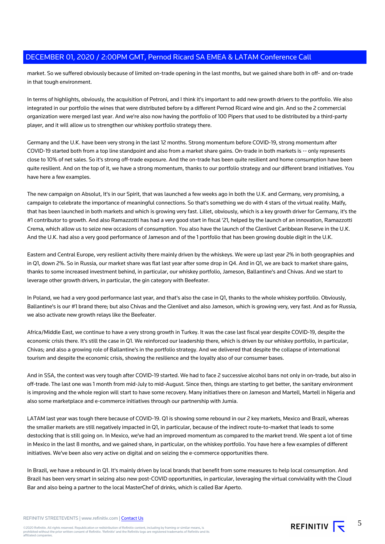market. So we suffered obviously because of limited on-trade opening in the last months, but we gained share both in off- and on-trade in that tough environment.

In terms of highlights, obviously, the acquisition of Petroni, and I think it's important to add new growth drivers to the portfolio. We also integrated in our portfolio the wines that were distributed before by a different Pernod Ricard wine and gin. And so the 2 commercial organization were merged last year. And we're also now having the portfolio of 100 Pipers that used to be distributed by a third-party player, and it will allow us to strengthen our whiskey portfolio strategy there.

Germany and the U.K. have been very strong in the last 12 months. Strong momentum before COVID-19, strong momentum after COVID-19 started both from a top line standpoint and also from a market share gains. On-trade in both markets is -- only represents close to 10% of net sales. So it's strong off-trade exposure. And the on-trade has been quite resilient and home consumption have been quite resilient. And on the top of it, we have a strong momentum, thanks to our portfolio strategy and our different brand initiatives. You have here a few examples.

The new campaign on Absolut, It's in our Spirit, that was launched a few weeks ago in both the U.K. and Germany, very promising, a campaign to celebrate the importance of meaningful connections. So that's something we do with 4 stars of the virtual reality. Malfy, that has been launched in both markets and which is growing very fast. Lillet, obviously, which is a key growth driver for Germany, it's the #1 contributor to growth. And also Ramazzotti has had a very good start in fiscal '21, helped by the launch of an innovation, Ramazzotti Crema, which allow us to seize new occasions of consumption. You also have the launch of the Glenlivet Caribbean Reserve in the U.K. And the U.K. had also a very good performance of Jameson and of the 1 portfolio that has been growing double digit in the U.K.

Eastern and Central Europe, very resilient activity there mainly driven by the whiskeys. We were up last year 2% in both geographies and in Q1, down 2%. So in Russia, our market share was flat last year after some drop in Q4. And in Q1, we are back to market share gains, thanks to some increased investment behind, in particular, our whiskey portfolio, Jameson, Ballantine's and Chivas. And we start to leverage other growth drivers, in particular, the gin category with Beefeater.

In Poland, we had a very good performance last year, and that's also the case in Q1, thanks to the whole whiskey portfolio. Obviously, Ballantine's is our #1 brand there; but also Chivas and the Glenlivet and also Jameson, which is growing very, very fast. And as for Russia, we also activate new growth relays like the Beefeater.

Africa/Middle East, we continue to have a very strong growth in Turkey. It was the case last fiscal year despite COVID-19, despite the economic crisis there. It's still the case in Q1. We reinforced our leadership there, which is driven by our whiskey portfolio, in particular, Chivas; and also a growing role of Ballantine's in the portfolio strategy. And we delivered that despite the collapse of international tourism and despite the economic crisis, showing the resilience and the loyalty also of our consumer bases.

And in SSA, the context was very tough after COVID-19 started. We had to face 2 successive alcohol bans not only in on-trade, but also in off-trade. The last one was 1 month from mid-July to mid-August. Since then, things are starting to get better, the sanitary environment is improving and the whole region will start to have some recovery. Many initiatives there on Jameson and Martell, Martell in Nigeria and also some marketplace and e-commerce initiatives through our partnership with Jumia.

LATAM last year was tough there because of COVID-19. Q1 is showing some rebound in our 2 key markets, Mexico and Brazil, whereas the smaller markets are still negatively impacted in Q1, in particular, because of the indirect route-to-market that leads to some destocking that is still going on. In Mexico, we've had an improved momentum as compared to the market trend. We spent a lot of time in Mexico in the last 8 months, and we gained share, in particular, on the whiskey portfolio. You have here a few examples of different initiatives. We've been also very active on digital and on seizing the e-commerce opportunities there.

In Brazil, we have a rebound in Q1. It's mainly driven by local brands that benefit from some measures to help local consumption. And Brazil has been very smart in seizing also new post-COVID opportunities, in particular, leveraging the virtual conviviality with the Cloud Bar and also being a partner to the local MasterChef of drinks, which is called Bar Aperto.

REFINITIV STREETEVENTS | www.refinitiv.com | [Contact Us](https://www.refinitiv.com/en/contact-us)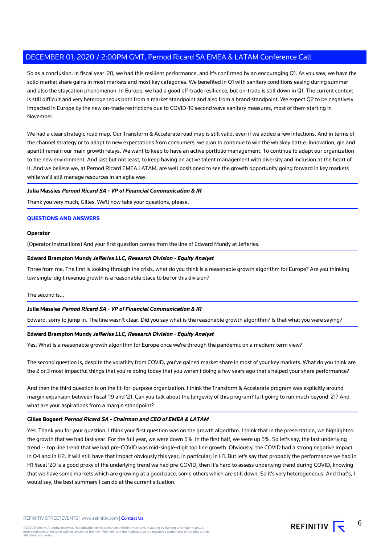So as a conclusion. In fiscal year '20, we had this resilient performance, and it's confirmed by an encouraging Q1. As you saw, we have the solid market share gains in most markets and most key categories. We benefited in Q1 with sanitary conditions easing during summer and also the staycation phenomenon. In Europe, we had a good off-trade resilience, but on-trade is still down in Q1. The current context is still difficult and very heterogeneous both from a market standpoint and also from a brand standpoint. We expect Q2 to be negatively impacted in Europe by the new on-trade restrictions due to COVID-19 second wave sanitary measures, most of them starting in November.

We had a clear strategic road map. Our Transform & Accelerate road map is still valid, even if we added a few infections. And in terms of the channel strategy or to adapt to new expectations from consumers, we plan to continue to win the whiskey battle. Innovation, gin and aperitif remain our main growth relays. We want to keep to have an active portfolio management. To continue to adapt our organization to the new environment. And last but not least, to keep having an active talent management with diversity and inclusion at the heart of it. And we believe we, at Pernod Ricard EMEA LATAM, are well positioned to see the growth opportunity going forward in key markets while we'll still manage resources in an agile way.

## **Julia Massies Pernod Ricard SA - VP of Financial Communication & IR**

Thank you very much, Gilles. We'll now take your questions, please.

## **QUESTIONS AND ANSWERS**

#### **Operator**

(Operator Instructions) And your first question comes from the line of Edward Mundy at Jefferies.

### **Edward Brampton Mundy Jefferies LLC, Research Division - Equity Analyst**

Three from me. The first is looking through the crisis, what do you think is a reasonable growth algorithm for Europe? Are you thinking low single-digit revenue growth is a reasonable place to be for this division?

#### The second is...

# **Julia Massies Pernod Ricard SA - VP of Financial Communication & IR**

Edward, sorry to jump in. The line wasn't clear. Did you say what is the reasonable growth algorithm? Is that what you were saying?

#### **Edward Brampton Mundy Jefferies LLC, Research Division - Equity Analyst**

Yes. What is a reasonable growth algorithm for Europe once we're through the pandemic on a medium-term view?

The second question is, despite the volatility from COVID, you've gained market share in most of your key markets. What do you think are the 2 or 3 most impactful things that you're doing today that you weren't doing a few years ago that's helped your share performance?

And then the third question is on the fit-for-purpose organization. I think the Transform & Accelerate program was explicitly around margin expansion between fiscal '19 and '21. Can you talk about the longevity of this program? Is it going to run much beyond '21? And what are your aspirations from a margin standpoint?

#### **Gilles Bogaert Pernod Ricard SA - Chairman and CEO of EMEA & LATAM**

Yes. Thank you for your question. I think your first question was on the growth algorithm. I think that in the presentation, we highlighted the growth that we had last year. For the full year, we were down 5%. In the first half, we were up 5%. So let's say, the last underlying trend -- top line trend that we had pre-COVID was mid-single-digit top line growth. Obviously, the COVID had a strong negative impact in Q4 and in H2. It will still have that impact obviously this year, in particular, in H1. But let's say that probably the performance we had in H1 fiscal '20 is a good proxy of the underlying trend we had pre-COVID, then it's hard to assess underlying trend during COVID, knowing that we have some markets which are growing at a good pace, some others which are still down. So it's very heterogeneous. And that's, I would say, the best summary I can do at the current situation.

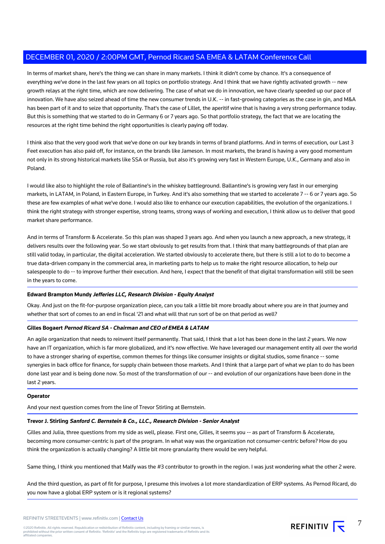In terms of market share, here's the thing we can share in many markets. I think it didn't come by chance. It's a consequence of everything we've done in the last few years on all topics on portfolio strategy. And I think that we have rightly activated growth -- new growth relays at the right time, which are now delivering. The case of what we do in innovation, we have clearly speeded up our pace of innovation. We have also seized ahead of time the new consumer trends in U.K. -- in fast-growing categories as the case in gin, and M&A has been part of it and to seize that opportunity. That's the case of Lillet, the aperitif wine that is having a very strong performance today. But this is something that we started to do in Germany 6 or 7 years ago. So that portfolio strategy, the fact that we are locating the resources at the right time behind the right opportunities is clearly paying off today.

I think also that the very good work that we've done on our key brands in terms of brand platforms. And in terms of execution, our Last 3 Feet execution has also paid off, for instance, on the brands like Jameson. In most markets, the brand is having a very good momentum not only in its strong historical markets like SSA or Russia, but also it's growing very fast in Western Europe, U.K., Germany and also in Poland.

I would like also to highlight the role of Ballantine's in the whiskey battleground. Ballantine's is growing very fast in our emerging markets, in LATAM, in Poland, in Eastern Europe, in Turkey. And it's also something that we started to accelerate 7 -- 6 or 7 years ago. So these are few examples of what we've done. I would also like to enhance our execution capabilities, the evolution of the organizations. I think the right strategy with stronger expertise, strong teams, strong ways of working and execution, I think allow us to deliver that good market share performance.

And in terms of Transform & Accelerate. So this plan was shaped 3 years ago. And when you launch a new approach, a new strategy, it delivers results over the following year. So we start obviously to get results from that. I think that many battlegrounds of that plan are still valid today, in particular, the digital acceleration. We started obviously to accelerate there, but there is still a lot to do to become a true data-driven company in the commercial area, in marketing parts to help us to make the right resource allocation, to help our salespeople to do -- to improve further their execution. And here, I expect that the benefit of that digital transformation will still be seen in the years to come.

# **Edward Brampton Mundy Jefferies LLC, Research Division - Equity Analyst**

Okay. And just on the fit-for-purpose organization piece, can you talk a little bit more broadly about where you are in that journey and whether that sort of comes to an end in fiscal '21 and what will that run sort of be on that period as well?

# **Gilles Bogaert Pernod Ricard SA - Chairman and CEO of EMEA & LATAM**

An agile organization that needs to reinvent itself permanently. That said, I think that a lot has been done in the last 2 years. We now have an IT organization, which is far more globalized, and it's now effective. We have leveraged our management entity all over the world to have a stronger sharing of expertise, common themes for things like consumer insights or digital studios, some finance -- some synergies in back office for finance, for supply chain between those markets. And I think that a large part of what we plan to do has been done last year and is being done now. So most of the transformation of our -- and evolution of our organizations have been done in the last 2 years.

# **Operator**

And your next question comes from the line of Trevor Stirling at Bernstein.

# **Trevor J. Stirling Sanford C. Bernstein & Co., LLC., Research Division - Senior Analyst**

Gilles and Julia, three questions from my side as well, please. First one, Gilles, it seems you -- as part of Transform & Accelerate, becoming more consumer-centric is part of the program. In what way was the organization not consumer-centric before? How do you think the organization is actually changing? A little bit more granularity there would be very helpful.

Same thing, I think you mentioned that Malfy was the #3 contributor to growth in the region. I was just wondering what the other 2 were.

And the third question, as part of fit for purpose, I presume this involves a lot more standardization of ERP systems. As Pernod Ricard, do you now have a global ERP system or is it regional systems?

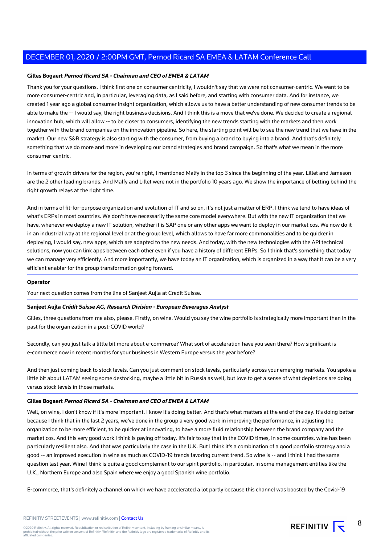## **Gilles Bogaert Pernod Ricard SA - Chairman and CEO of EMEA & LATAM**

Thank you for your questions. I think first one on consumer centricity, I wouldn't say that we were not consumer-centric. We want to be more consumer-centric and, in particular, leveraging data, as I said before, and starting with consumer data. And for instance, we created 1 year ago a global consumer insight organization, which allows us to have a better understanding of new consumer trends to be able to make the -- I would say, the right business decisions. And I think this is a move that we've done. We decided to create a regional innovation hub, which will allow -- to be closer to consumers, identifying the new trends starting with the markets and then work together with the brand companies on the innovation pipeline. So here, the starting point will be to see the new trend that we have in the market. Our new S&R strategy is also starting with the consumer, from buying a brand to buying into a brand. And that's definitely something that we do more and more in developing our brand strategies and brand campaign. So that's what we mean in the more consumer-centric.

In terms of growth drivers for the region, you're right, I mentioned Malfy in the top 3 since the beginning of the year. Lillet and Jameson are the 2 other leading brands. And Malfy and Lillet were not in the portfolio 10 years ago. We show the importance of betting behind the right growth relays at the right time.

And in terms of fit-for-purpose organization and evolution of IT and so on, it's not just a matter of ERP. I think we tend to have ideas of what's ERPs in most countries. We don't have necessarily the same core model everywhere. But with the new IT organization that we have, whenever we deploy a new IT solution, whether it is SAP one or any other apps we want to deploy in our market cos. We now do it in an industrial way at the regional level or at the group level, which allows to have far more commonalities and to be quicker in deploying, I would say, new apps, which are adapted to the new needs. And today, with the new technologies with the API technical solutions, now you can link apps between each other even if you have a history of different ERPs. So I think that's something that today we can manage very efficiently. And more importantly, we have today an IT organization, which is organized in a way that it can be a very efficient enabler for the group transformation going forward.

#### **Operator**

Your next question comes from the line of Sanjeet Aujla at Credit Suisse.

## **Sanjeet Aujla Crédit Suisse AG, Research Division - European Beverages Analyst**

Gilles, three questions from me also, please. Firstly, on wine. Would you say the wine portfolio is strategically more important than in the past for the organization in a post-COVID world?

Secondly, can you just talk a little bit more about e-commerce? What sort of acceleration have you seen there? How significant is e-commerce now in recent months for your business in Western Europe versus the year before?

And then just coming back to stock levels. Can you just comment on stock levels, particularly across your emerging markets. You spoke a little bit about LATAM seeing some destocking, maybe a little bit in Russia as well, but love to get a sense of what depletions are doing versus stock levels in those markets.

## **Gilles Bogaert Pernod Ricard SA - Chairman and CEO of EMEA & LATAM**

Well, on wine, I don't know if it's more important. I know it's doing better. And that's what matters at the end of the day. It's doing better because I think that in the last 2 years, we've done in the group a very good work in improving the performance, in adjusting the organization to be more efficient, to be quicker at innovating, to have a more fluid relationship between the brand company and the market cos. And this very good work I think is paying off today. It's fair to say that in the COVID times, in some countries, wine has been particularly resilient also. And that was particularly the case in the U.K. But I think it's a combination of a good portfolio strategy and a good -- an improved execution in wine as much as COVID-19 trends favoring current trend. So wine is -- and I think I had the same question last year. Wine I think is quite a good complement to our spirit portfolio, in particular, in some management entities like the U.K., Northern Europe and also Spain where we enjoy a good Spanish wine portfolio.

E-commerce, that's definitely a channel on which we have accelerated a lot partly because this channel was boosted by the Covid-19

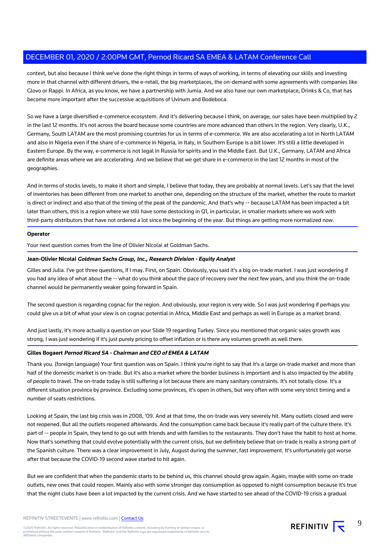context, but also because I think we've done the right things in terms of ways of working, in terms of elevating our skills and investing more in that channel with different drivers, the e-retail, the big marketplaces, the on-demand with some agreements with companies like Glovo or Rappi. In Africa, as you know, we have a partnership with Jumia. And we also have our own marketplace, Drinks & Co, that has become more important after the successive acquisitions of Uvinum and Bodeboca.

So we have a large diversified e-commerce ecosystem. And it's delivering because I think, on average, our sales have been multiplied by 2 in the last 12 months. It's not across the board because some countries are more advanced than others in the region. Very clearly, U.K., Germany, South LATAM are the most promising countries for us in terms of e-commerce. We are also accelerating a lot in North LATAM and also in Nigeria even if the share of e-commerce in Nigeria, in Italy, in Southern Europe is a bit lower. It's still a little developed in Eastern Europe. By the way, e-commerce is not legal in Russia for spirits and in the Middle East. But U.K., Germany, LATAM and Africa are definite areas where we are accelerating. And we believe that we get share in e-commerce in the last 12 months in most of the geographies.

And in terms of stocks levels, to make it short and simple, I believe that today, they are probably at normal levels. Let's say that the level of inventories has been different from one market to another one, depending on the structure of the market, whether the route to market is direct or indirect and also that of the timing of the peak of the pandemic. And that's why -- because LATAM has been impacted a bit later than others, this is a region where we still have some destocking in Q1, in particular, in smaller markets where we work with third-party distributors that have not ordered a lot since the beginning of the year. But things are getting more normalized now.

# **Operator**

Your next question comes from the line of Olivier Nicolai at Goldman Sachs.

## **Jean-Olivier Nicolai Goldman Sachs Group, Inc., Research Division - Equity Analyst**

Gilles and Julia. I've got three questions, if I may. First, on Spain. Obviously, you said it's a big on-trade market. I was just wondering if you had any idea of what about the -- what do you think about the pace of recovery over the next few years, and you think the on-trade channel would be permanently weaker going forward in Spain.

The second question is regarding cognac for the region. And obviously, your region is very wide. So I was just wondering if perhaps you could give us a bit of what your view is on cognac potential in Africa, Middle East and perhaps as well in Europe as a market brand.

And just lastly, it's more actually a question on your Slide 19 regarding Turkey. Since you mentioned that organic sales growth was strong, I was just wondering if it's just purely pricing to offset inflation or is there any volumes growth as well there.

#### **Gilles Bogaert Pernod Ricard SA - Chairman and CEO of EMEA & LATAM**

Thank you. (foreign language) Your first question was on Spain. I think you're right to say that it's a large on-trade market and more than half of the domestic market is on-trade. But it's also a market where the border business is important and is also impacted by the ability of people to travel. The on-trade today is still suffering a lot because there are many sanitary constraints. It's not totally close. It's a different situation province by province. Excluding some provinces, it's open in others, but very often with some very strict timing and a number of seats restrictions.

Looking at Spain, the last big crisis was in 2008, '09. And at that time, the on-trade was very severely hit. Many outlets closed and were not reopened. But all the outlets reopened afterwards. And the consumption came back because it's really part of the culture there. It's part of -- people in Spain, they tend to go out with friends and with families to the restaurants. They don't have the habit to host at home. Now that's something that could evolve potentially with the current crisis, but we definitely believe that on-trade is really a strong part of the Spanish culture. There was a clear improvement in July, August during the summer, fast improvement. It's unfortunately got worse after that because the COVID-19 second wave started to hit again.

But we are confident that when the pandemic starts to be behind us, this channel should grow again. Again, maybe with some on-trade outlets, new ones that could reopen. Mainly also with some stronger day consumption as opposed to night consumption because it's true that the night clubs have been a lot impacted by the current crisis. And we have started to see ahead of the COVID-19 crisis a gradual

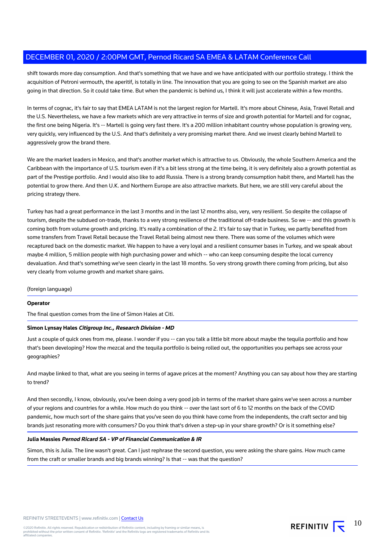shift towards more day consumption. And that's something that we have and we have anticipated with our portfolio strategy. I think the acquisition of Petroni vermouth, the aperitif, is totally in line. The innovation that you are going to see on the Spanish market are also going in that direction. So it could take time. But when the pandemic is behind us, I think it will just accelerate within a few months.

In terms of cognac, it's fair to say that EMEA LATAM is not the largest region for Martell. It's more about Chinese, Asia, Travel Retail and the U.S. Nevertheless, we have a few markets which are very attractive in terms of size and growth potential for Martell and for cognac, the first one being Nigeria. It's -- Martell is going very fast there. It's a 200 million inhabitant country whose population is growing very, very quickly, very influenced by the U.S. And that's definitely a very promising market there. And we invest clearly behind Martell to aggressively grow the brand there.

We are the market leaders in Mexico, and that's another market which is attractive to us. Obviously, the whole Southern America and the Caribbean with the importance of U.S. tourism even if it's a bit less strong at the time being, it is very definitely also a growth potential as part of the Prestige portfolio. And I would also like to add Russia. There is a strong brandy consumption habit there, and Martell has the potential to grow there. And then U.K. and Northern Europe are also attractive markets. But here, we are still very careful about the pricing strategy there.

Turkey has had a great performance in the last 3 months and in the last 12 months also, very, very resilient. So despite the collapse of tourism, despite the subdued on-trade, thanks to a very strong resilience of the traditional off-trade business. So we -- and this growth is coming both from volume growth and pricing. It's really a combination of the 2. It's fair to say that in Turkey, we partly benefited from some transfers from Travel Retail because the Travel Retail being almost new there. There was some of the volumes which were recaptured back on the domestic market. We happen to have a very loyal and a resilient consumer bases in Turkey, and we speak about maybe 4 million, 5 million people with high purchasing power and which -- who can keep consuming despite the local currency devaluation. And that's something we've seen clearly in the last 18 months. So very strong growth there coming from pricing, but also very clearly from volume growth and market share gains.

(foreign language)

# **Operator**

The final question comes from the line of Simon Hales at Citi.

# **Simon Lynsay Hales Citigroup Inc., Research Division - MD**

Just a couple of quick ones from me, please. I wonder if you -- can you talk a little bit more about maybe the tequila portfolio and how that's been developing? How the mezcal and the tequila portfolio is being rolled out, the opportunities you perhaps see across your geographies?

And maybe linked to that, what are you seeing in terms of agave prices at the moment? Anything you can say about how they are starting to trend?

And then secondly, I know, obviously, you've been doing a very good job in terms of the market share gains we've seen across a number of your regions and countries for a while. How much do you think -- over the last sort of 6 to 12 months on the back of the COVID pandemic, how much sort of the share gains that you've seen do you think have come from the independents, the craft sector and big brands just resonating more with consumers? Do you think that's driven a step-up in your share growth? Or is it something else?

### **Julia Massies Pernod Ricard SA - VP of Financial Communication & IR**

Simon, this is Julia. The line wasn't great. Can I just rephrase the second question, you were asking the share gains. How much came from the craft or smaller brands and big brands winning? Is that -- was that the question?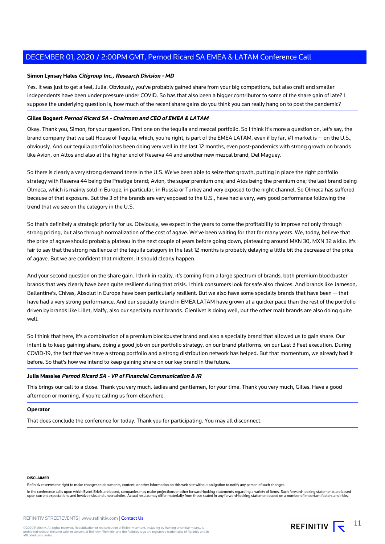#### **Simon Lynsay Hales Citigroup Inc., Research Division - MD**

Yes. It was just to get a feel, Julia. Obviously, you've probably gained share from your big competitors, but also craft and smaller independents have been under pressure under COVID. So has that also been a bigger contributor to some of the share gain of late? I suppose the underlying question is, how much of the recent share gains do you think you can really hang on to post the pandemic?

# **Gilles Bogaert Pernod Ricard SA - Chairman and CEO of EMEA & LATAM**

Okay. Thank you, Simon, for your question. First one on the tequila and mezcal portfolio. So I think it's more a question on, let's say, the brand company that we call House of Tequila, which, you're right, is part of the EMEA LATAM, even if by far, #1 market is -- on the U.S., obviously. And our tequila portfolio has been doing very well in the last 12 months, even post-pandemics with strong growth on brands like Avion, on Altos and also at the higher end of Reserva 44 and another new mezcal brand, Del Maguey.

So there is clearly a very strong demand there in the U.S. We've been able to seize that growth, putting in place the right portfolio strategy with Reserva 44 being the Prestige brand; Avion, the super premium one; and Atos being the premium one; the last brand being Olmeca, which is mainly sold in Europe, in particular, in Russia or Turkey and very exposed to the night channel. So Olmeca has suffered because of that exposure. But the 3 of the brands are very exposed to the U.S., have had a very, very good performance following the trend that we see on the category in the U.S.

So that's definitely a strategic priority for us. Obviously, we expect in the years to come the profitability to improve not only through strong pricing, but also through normalization of the cost of agave. We've been waiting for that for many years. We, today, believe that the price of agave should probably plateau in the next couple of years before going down, plateauing around MXN 30, MXN 32 a kilo. It's fair to say that the strong resilience of the tequila category in the last 12 months is probably delaying a little bit the decrease of the price of agave. But we are confident that midterm, it should clearly happen.

And your second question on the share gain. I think in reality, it's coming from a large spectrum of brands, both premium blockbuster brands that very clearly have been quite resilient during that crisis. I think consumers look for safe also choices. And brands like Jameson, Ballantine's, Chivas, Absolut in Europe have been particularly resilient. But we also have some specialty brands that have been -- that have had a very strong performance. And our specialty brand in EMEA LATAM have grown at a quicker pace than the rest of the portfolio driven by brands like Lillet, Malfy, also our specialty malt brands. Glenlivet is doing well, but the other malt brands are also doing quite well.

So I think that here, it's a combination of a premium blockbuster brand and also a specialty brand that allowed us to gain share. Our intent is to keep gaining share, doing a good job on our portfolio strategy, on our brand platforms, on our Last 3 Feet execution. During COVID-19, the fact that we have a strong portfolio and a strong distribution network has helped. But that momentum, we already had it before. So that's how we intend to keep gaining share on our key brand in the future.

#### **Julia Massies Pernod Ricard SA - VP of Financial Communication & IR**

This brings our call to a close. Thank you very much, ladies and gentlemen, for your time. Thank you very much, Gilles. Have a good afternoon or morning, if you're calling us from elsewhere.

#### **Operator**

That does conclude the conference for today. Thank you for participating. You may all disconnect.

#### **DISCLAIMER**

Refinitiv reserves the right to make changes to documents, content, or other information on this web site without obligation to notify any person of such changes.

In the conference calls upon which Event Briefs are based, companies may make projections or other forward-looking statements regarding a variety of items. Such forward-looking statements are based upon current expectations and involve risks and uncertainties. Actual results may differ materially from those stated in any forward-looking statement based on a number of important factors and risks,

11

REFINITIV  $\overline{\mathbf{t}}$